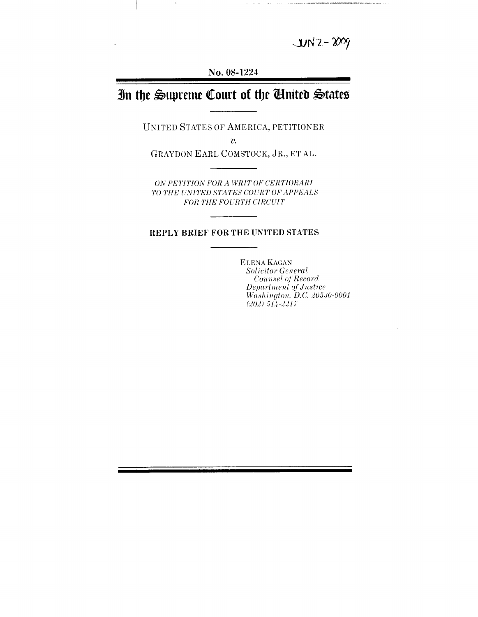$UN2 - 2009$ 

**No. 08-1224**

 $\pm$ 

# In the Supreme Court of the *Chuited* States

**UNITED STATES OF AMERICA, PETITIONER**

 $v_{\cdot}$ 

GRAYDON EARL COMSTOCK, JR., ET AL.

*ON PETITION FOR A WRIT* OF *CERTIORARI* TO *TIlE UNITED STATES COURT OF APPEALS FOR THE FOURTH CIRCUIT*

### **REPLY BRIEF FOR THE UNITED STATES**

**ELENA** KAGAN *Solicitor General*  $Connsel of Record$ *Department of Justice Washington, D.C. 20530-0001 (202) 514-2217*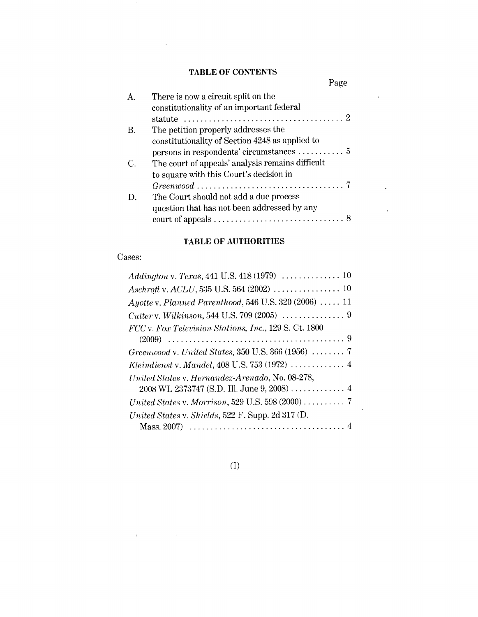# **TABLE OF CONTENTS**

 $\sim$   $\sim$ 

|    | Page                                                                                                                                                                              |  |
|----|-----------------------------------------------------------------------------------------------------------------------------------------------------------------------------------|--|
| Α. | There is now a circuit split on the<br>constitutionality of an important federal<br>statute $\ldots \ldots \ldots \ldots \ldots \ldots \ldots \ldots \ldots \ldots \ldots \ldots$ |  |
| В. | The petition properly addresses the<br>constitutionality of Section 4248 as applied to                                                                                            |  |
| C. | The court of appeals' analysis remains difficult<br>to square with this Court's decision in                                                                                       |  |
| D. | The Court should not add a due process<br>question that has not been addressed by any                                                                                             |  |

 $\sim 10^{-10}$ 

 $\hat{\mathcal{L}}$ 

## **TABLE OF AUTHORITIES**

#### Cases:

 $\mathcal{L}^{\text{max}}_{\text{max}}$  and  $\mathcal{L}^{\text{max}}_{\text{max}}$  and  $\mathcal{L}^{\text{max}}_{\text{max}}$ 

| Addington v. Texas, 441 U.S. 418 (1979) $\ldots \ldots \ldots \ldots \ldots 10$ |
|---------------------------------------------------------------------------------|
|                                                                                 |
| $Ayotte$ v. Planned Parenthood, 546 U.S. 320 (2006)  11                         |
| <i>Cutter v. Wilkinson,</i> 544 U.S. 709 (2005) $\ldots \ldots \ldots \ldots$ 9 |
| FCC v. Fox Television Stations, Inc., 129 S. Ct. 1800                           |
| (2009).                                                                         |
| Greenwood v. United States, 350 U.S. 366 (1956) $\ldots \ldots$ . 7             |
| Kleindienst v. Mandel, 408 U.S. 753 (1972)  4                                   |
| United States v. Hernandez-Arenado, No. 08-278,                                 |
|                                                                                 |
|                                                                                 |
| United States v. Shields, 522 F. Supp. 2d 317 (D.                               |
| Mass. 2007)                                                                     |

(I)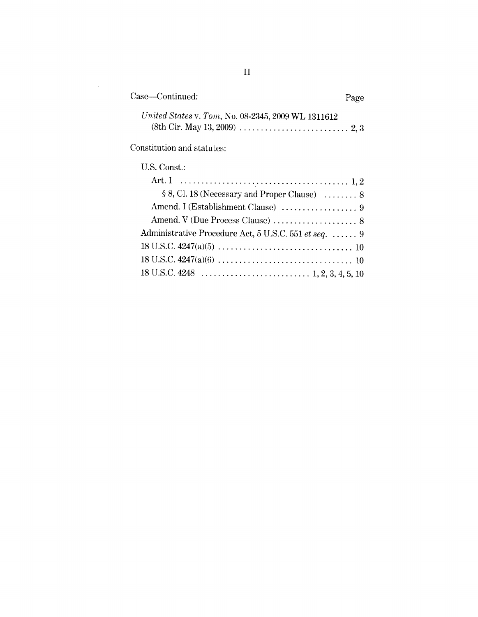| Case—Continued:                                    | Page |
|----------------------------------------------------|------|
| United States v. Tom, No. 08-2345, 2009 WL 1311612 |      |
|                                                    |      |

Constitution and statutes:

 $\sim$ 

| U.S. Const.:                                          |
|-------------------------------------------------------|
|                                                       |
| § 8, Cl. 18 (Necessary and Proper Clause)  8          |
|                                                       |
| Amend. V (Due Process Clause)  8                      |
| Administrative Procedure Act, 5 U.S.C. 551 et seq.  9 |
|                                                       |
|                                                       |
|                                                       |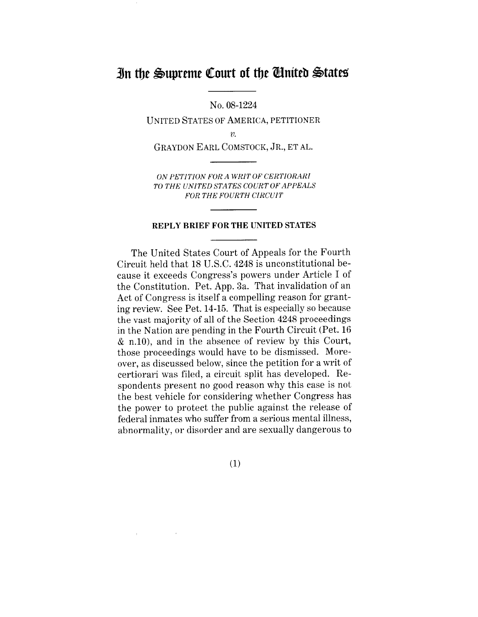# In the Supreme Court of the *Chaited* States

**No. 08-1224**

UNITED STATES OF AMERICA, PETITIONER

 $\upsilon$ .

GRAYDON EARL COMSTOCK, JR., ET AL.

*ON PETITION FOR A WRIT OF CERTIORARI TO THE UNITED STATES COURT OF APPEALS FOR THE FOURTH CIRCUIT*

#### REPLY BRIEF FOR THE UNITED STATES

The United States Court of Appeals for the Fourth Circuit held that 18 U.S.C. 4248 is unconstitutional because it exceeds Congress's powers under Article I of the Constitution. Pet. App. 3a. That invalidation of an Act of Congress is itself a compelling reason for granting review. See Pet. 14-15. That is especially so because the vast majority of all of the Section 4248 proceedings in the Nation are pending in the Fourth Circuit (Pet. 16 & n.10), and in the absence of review by this Court, those proceedings would have to be dismissed. Moreover, as discussed below, since the petition for a writ of certiorari was filed, a circuit split has developed. Respondents present no good reason why this case is not the best vehicle for considering whether Congress has the power to protect the public against the release of federal inmates who suffer from a serious mental illness, abnormality, or disorder and are sexually dangerous to

(1)

 $\pm$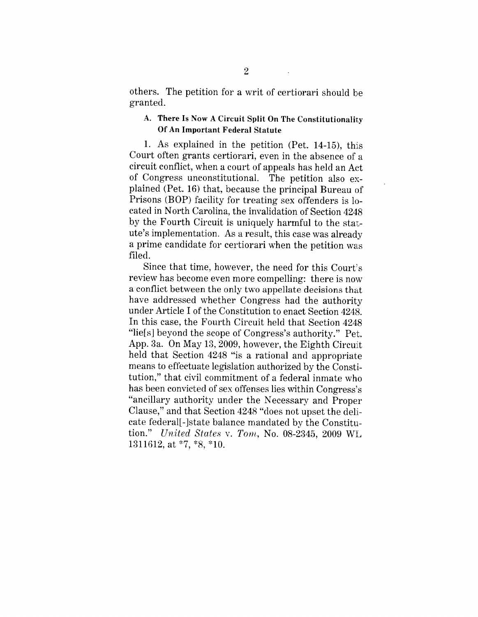others. The petition for a writ of certiorari should be granted.

## A. There Is Now A **Circuit Split** On The **Constitutionality** Of An **Important Federal Statute**

1. As explained in the petition (Pet.  $14-15$ ), this Court often grants certiorari, even in the absence of a circuit conflict, when a court of appeals has held an Act of Congress unconstitutional. The petition also explained (Pet. 16) that, because the principal Bureau of Prisons (BOP) facility for treating sex offenders is located in North Carolina, the invalidation of Section 4248 by the Fourth Circuit is uniquely harmful to the statute's implementation. As a result, this case was already a prime candidate for certiorari when the petition was filed.

Since that time, however, the need for this Court's review has become even more compelling: there is now a conflict between the only two appellate decisions that have addressed whether Congress had the authority under Article I of the Constitution to enact Section 4248. In this case, the Fourth Circuit held that Section 4248 "lie[s] beyond the scope of Congress's authority." Pet. App. 3a. On May 13, 2009, however, the Eighth Circuit held that Section 4248 "is a rational and appropriate means to effectuate legislation authorized by the Constitution," that civil commitment of a federal inmate who has been convicted of sex offenses lies within Congress's "ancillary authority under the Necessary and Proper Clause," and that Section 4248 "does not upset the delicate federal[-]state balance mandated by the Constitution." *United States v. Tom,* No. 08-2345, 2009 WL 1311612, at \*7, \*8, \*10.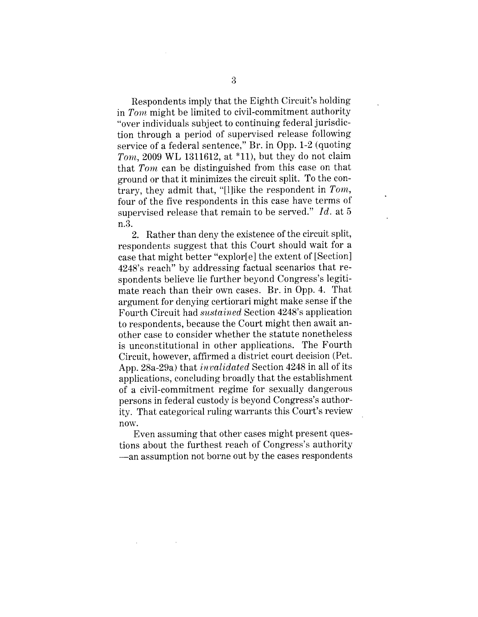Respondents imply that the Eighth Circuit's holding in *Tom* might be limited to civil-commitment authority "over individuals subject to continuing federal jurisdiction through a period of supervised release following service of a federal sentence," Br. in Opp. 1-2 (quoting *Tom,* 2009 WL 1311612, at \*11), but they do not claim that *Tom* can be distinguished from this case on that ground or that it minimizes the circuit split. To the contrary, they admit that, "[1]ike the respondent in *Tom,* four of the five respondents in this case have terms of supervised release that remain to be served." *Id.* at 5 n.3.

2. Rather than deny the existence of the circuit split, respondents suggest that this Court should wait for a case that might better "explor[e] the extent of [Section] 4248's reach" by addressing factual scenarios that respondents believe lie further beyond Congress's legitimate reach than their own cases. Br. in Opp. 4. That argument for denying certiorari might make sense if the Fourth Circuit had *sustained* Section 4248's application to respondents, because the Court might then await another case to consider whether the statute nonetheless is unconstitutional in other applications. The Fourth Circuit, however, affirmed a district court decision (Pet. App. 28a-29a) that *invalidated* Section 4248 in all of its applications, concluding broadly that the establishment of a civil-commitment regime for sexually dangerous persons in federal custody is beyond Congress's authority. That categorical ruling warrants this Court's review now.

Even assuming that other cases might present questions about the furthest reach of Congress's authority --an assumption not borne out by the cases respondents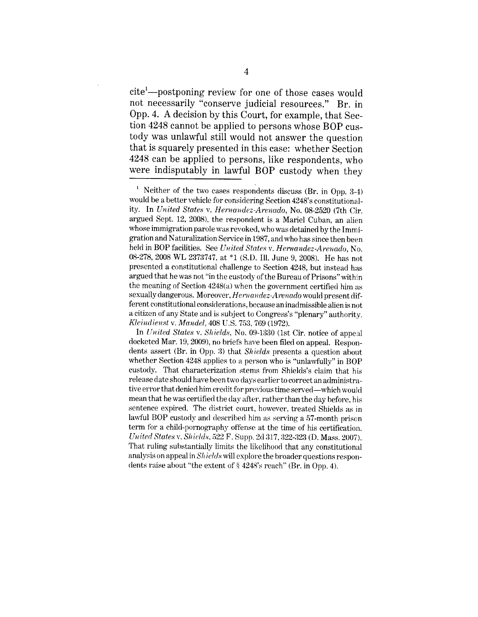cite<sup>1</sup>--postponing review for one of those cases would not necessarily "conserve judicial resources." Br. in Opp. 4. A decision by this Court, for example, that Section 4248 cannot be applied to persons whose BOP custody was unlawful still would not answer the question that is squarely presented in this case: whether Section 4248 can be applied to persons, like respondents, who were indisputably in lawful BOP custody when they

 $^1$  Neither of the two cases respondents discuss (Br. in Opp. 3-4) would be a better vehicle for considering Section 4248's constitutionality. In *United States v. Hernandez-Arenado*, No. 08-2520 (7th Cir. argued Sept. 12, 2008), the respondent is a Mariel Cuban, an alien whose immigration parole was revoked, who was detained by the Immigration and Naturalization Service in 1987, and who has since then been held in BOP facilities. See *United States v. Hernandez-Arenado*, No. 08-278, 2008 WL 2373747, at \*1 (S.D. Ill. June 9, 2008). He has not presented a constitutional challenge to Section 4248, but instead has argued that he was not "in the custody of the Bureau of Prisons" within the meaning of Section 4248(a) when the government certified him as sexually dangerous. Moreover, *Hernandez-Arenado* would present different constitutional considerations, because an inadmissible alien is not a citizen of any State and is subject to Congress's "plenary" authority. *Kleindienst v. Mandel, 408 U.S. 753, 769 (1972).* 

In *United States v. Shields*, No. 09-1330 (1st Cir. notice of appeal docketed Mar. 19, 2009), no briefs have been filed on appeal. Respondents assert (Br. in Opp. 3) that *Shields* presents a question about whether Section 4248 applies to a person who is "unlawfully" in BOP custody. That characterization stems from Shields's claim that his release date should have been two days earlier to correct an administrative error that denied him credit for previous time served--which would mean that he was certified the day after, rather than the day before, his sentence expired. The district court, however, treated Shields as in lawful BOP custody and described him as serving a 57-month prison term for a child-pornography offense at the time of his certification. *U~,ited States v. Sl~ields,* 522 F. Supp. 2d 317, 322-323 (D. Mass. 2007). That ruling substantially limits the likelihood that any constitutional analysis on appeal in *Shields* will explore the broader questions respondents raise about "the extent of § 4248's reach" (Br. in Opp. 4).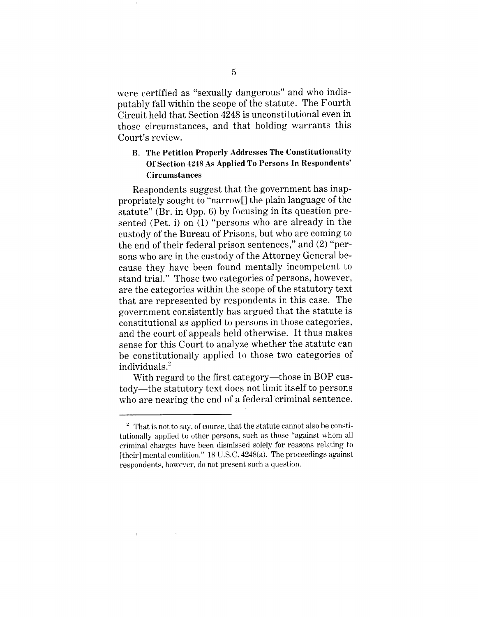were certified as "sexually dangerous" and who indisputably fall within the scope of the statute. The Fourth Circuit held that Section 4248 is unconstitutional even in those circumstances, and that holding warrants this Court's review.

## **B. The Petition Properly Addresses The Constitutionality Of Section 4248 As Applied To Persons In Respondents' Circumstances**

Respondents suggest that the government has inappropriately sought to "narrow[] the plain language of the statute" (Br. in Opp. 6) by focusing in its question presented (Pet. i) on (1) "persons who are already in the custody of the Bureau of Prisons, but who are coming to the end of their federal prison sentences," and (2) "persons who are in the custody of the Attorney General because they have been found mentally incompetent to stand trial." Those two categories of persons, however, are the categories within the scope of the statutory text that are represented by respondents in this case. The government consistently has argued that the statute is constitutional as applied to persons in those categories, and the court of appeals held otherwise. It thus makes sense for this Court to analyze whether the statute can be constitutionally applied to those two categories of individuals.<sup>2</sup>

With regard to the first category—those in BOP custody--the statutory text does not limit itself to persons who are nearing the end of a federal criminal sentence.

 $\pm$ 

 $\sim$   $\alpha$ 

 $\frac{2}{3}$  That is not to say, of course, that the statute cannot also be constitutionally applied to other persons, such as those "against whom all criminal charges have been dismissed solely for reasons relating to [their] mental condition."  $18$  U.S.C.  $4248(a)$ . The proceedings against respondents, however, do not present such a question.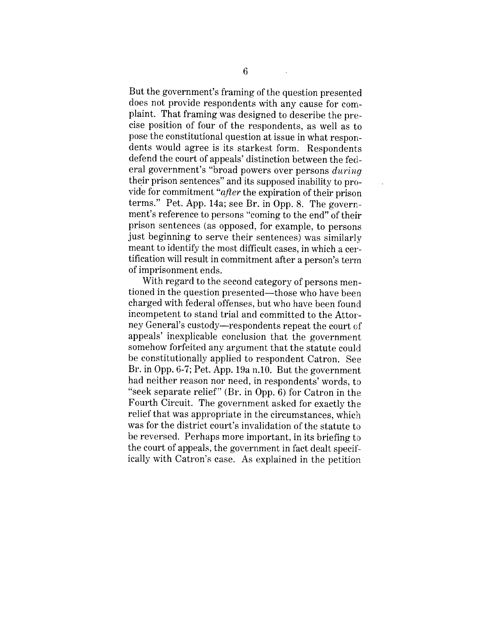But the government's framing of the question presented does not provide respondents with any cause for complaint. That framing was designed to describe the precise position of four of the respondents, as well as to pose the constitutional question at issue in what respondents would agree is its starkest form. Respondents defend the court of appeals' distinction between the federal government's "broad powers over persons *during* their prison sentences" and its supposed inability to provide for commitment *"after* the expiration of their prison terms." Pet. App. 14a; see Br. in Opp. 8. The government's reference to persons "coming to the end" of their prison sentences (as opposed, for example, to persons just beginning to serve their sentences) was similarly meant to identify the most difficult cases, in which a certification will result in commitment after a person's terra of imprisonment ends.

With regard to the second category of persons mentioned in the question presented-those who have been charged with federal offenses, but who have been found incompetent to stand trial and committed to the Attorney General's custody--respondents repeat the court of appeals' inexplicable conclusion that the government somehow forfeited any argument that the statute could be constitutionally applied to respondent Catron. See Br. in Opp. 6-7; Pet. App. 19a n.10. But the government had neither reason nor need, in respondents' words, to "seek separate relief" (Br. in Opp. 6) for Catron in the Fourth Circuit. The government asked for exactly the relief that was appropriate in the circumstances, which was for the district com't's invalidation of the statute to be reversed. Perhaps more important, in its briefing to the court of appeals, the government in fact dealt specifically with Catron's case. As explained in the petition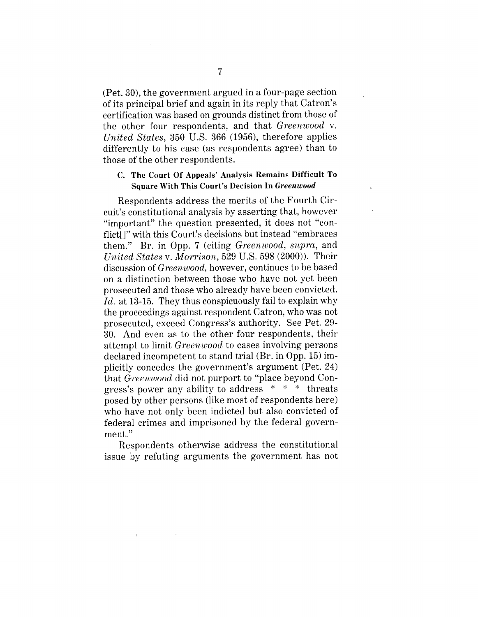(Pet. 30), the government argued in a four-page section of its principal brief and again in its reply that Catron's certification was based on grounds distinct from those of the other four respondents, and that *Greenwood v. United States,* 350 U.S. 366 (1956), therefore applies differently to his case (as respondents agree) than to those of the other respondents.

#### C. The Court Of Appeals' Analysis Remains Difficult To Square With This Court's Decision In *Greenwood*

Respondents address the merits of the Fourth Circuit's constitutional analysis by asserting that, however "important" the question presented, it does not "conflict[]" with this Court's decisions but instead "embraces them." Br. in Opp. 7 (citing *Greenwood, supra,* and *United States v. Morrison,* 529 U.S. 598 (2000)). Their discussion of *Greenwood,* however, continues to be based on a distinction between those who have not yet been prosecuted and those who already have been convicted. *Id.* at 13-15. They thus conspicuously fail to explain why the proceedings against respondent Catron, who was not prosecuted, exceed Congress's authority. See Pet. 29- 30. And even as to the other four respondents, their attempt to limit *Greenwood* to cases involving persons declared incompetent to stand trial (Br. in Opp. 15) implicitly concedes the government's argument (Pet. 24) that *Greenwood* did not purport to "place beyond Congress's power any ability to address \* \* \* threats posed by other persons (like most of respondents here) who have not only been indicted but also convicted of federal crimes and imprisoned by the federal government."

Respondents otherwise address the constitutional issue by refuting arguments the government has not

 $\mathbf{E}^{(1)}$  .

 $\sim 100$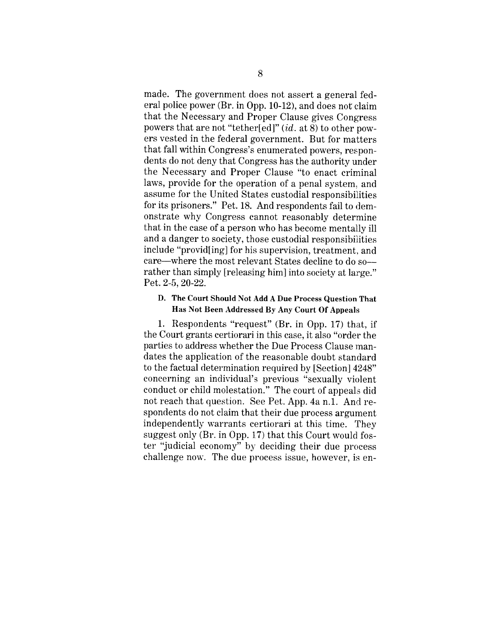made. The government does not assert a general federal police power (Br. in Opp. 10-12), and does not claim that the Necessary and Proper Clause gives Congress powers that are not "tether[ed]" *(id.* at 8) to other powers vested in the federal government. But for matters that fall within Congress's enumerated powers, respondents do not deny that Congress has the authority under the Necessary and Proper Clause "to enact criminal laws, provide for the operation of a penal system, and assume for the United States custodial responsibilities for its prisoners." Pet. 18. And respondents fail to demonstrate why Congress cannot reasonably determine that in the case of a person who has become mentally ill and a danger to society, those custodial responsibilities include "provid[ing] for his supervision, treatment, and care--where the most relevant States decline to do so- rather than simply [releasing him] into society at large." Pet. 2-5, 20-22.

### D. **The Court Should Not Add** A Due **Process Question** That **Has Not Been Addressed By Any Court Of Appeals**

1. Respondents "request" (Br. in Opp. 17) that, if the Court grants certiorari in this case, it also "order the parties to address whether the Due Process Clause mandates the application of the reasonable doubt standard to the factual determination required by [Section] 4248" concerning an individual's previous "sexually violent conduct or child molestation." The court of appeals did not reach that question. See Pet. App. 4a n.1. And respondents do not claim that their due process argument independently warrants certiorari at this time. They suggest only (Br. in Opp. 17) that this Court would foster "judicial economy" by deciding their due process challenge now. The due process issue, however, is en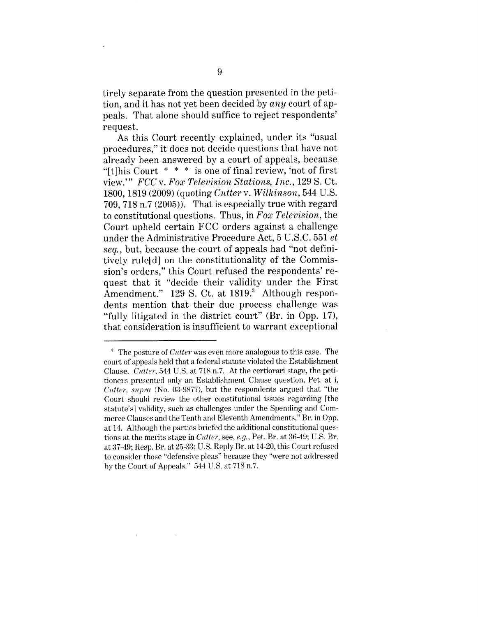tirely separate from the question presented in the petition, and it has not yet been decided by *any* court of appeals. That alone should suffice to reject respondents' request.

As this Court recently explained, under its "usual procedures," it does not decide questions that have not already been answered by a court of appeals, because "[t]his Court  $* * *$  is one of final review, 'not of first" view.'" *FCC v. Fox Television Stations, Inc.,* 129 S. Ct. 1800, 1819 (2009) (quoting *Cutter v. Wilkinson,* 544 U.S. 709, 718 n.7 (2005)). That is especially true with regard to constitutional questions. Thus, in *Fox Television,* the Court upheld certain FCC orders against a challenge under the Administrative Procedure Act, 5 U.S.C. 551 *et seq.,* but, because the court of appeals had "not definitively rule[d] on the constitutionality of the Commission's orders," this Court refused the respondents' request that it "decide their validity under the First Amendment."  $129$  S. Ct. at  $1819$ . Although respondents mention that their due process challenge was "fully litigated in the district court" (Br. in Opp. 17), that consideration is insufficient to warrant exceptional

 $\sim 10^7$ 

 $\mathbb{R}^n$ 

<sup>:~</sup> The posture of *C~ttter* was even more analogous to this case. The court of appeals held that a federal statute violated the Establishment Clause. *Cutter*, 544 U.S. at 718 n.7. At the certiorari stage, the petitioners presented only an Establishment Clause question, Pet. at i, *Cutter, supra* (No. 03-9877), but the respondents argued that "the Court should review the other constitutional issues regarding [the statute's] validity, such as challenges under the Spending and Commerce Clauses and the Tenth and Eleventh Amendments," Br. in Opp. at 14. Although the parties briefed the additional constitutional questions at the merits stage in *Cutter*, see, *e.g.*, Pet. Br. at 36-49; U.S. Br. at 37-49; Resp. Br. at 25-33; U.S. Reply Br. at 14-20, this Court refused to consider those "defensive pleas" because they "were not addressed by the Court of Appeals." 544 U.S. at 718 n.7.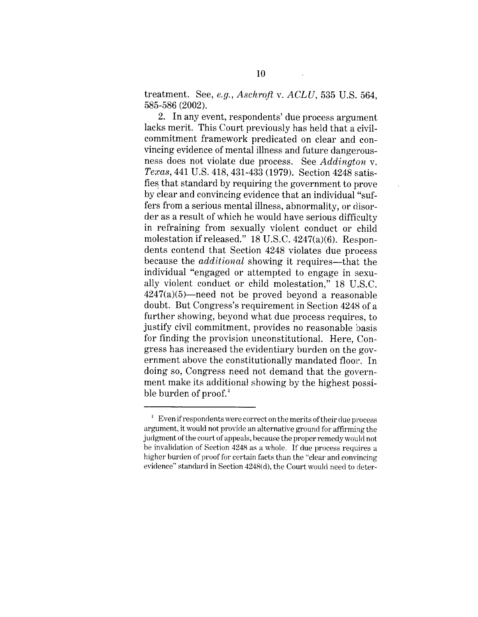treatment. See, *e.g., Aschroft v. ACLU,* 535 U.S. 564, 585-586 (2002).

2. In any event, respondents' due process argument lacks merit. This Court previously has held that a civilcommitment framework predicated on clear and convincing evidence of mental illness and future dangeroushess does not violate due process. See *Addington v. Texas*, 441 U.S. 418, 431-433 (1979). Section 4248 satisfies that standard by requiring the government to prove by clear and convincing evidence that an individual "suffers from a serious mental illness, abnormality, or disorder as a result of which he would have serious difficulty in refraining from sexually violent conduct or child molestation if released." 18 U.S.C. 4247(a)(6). Respondents contend that Section 4248 violates due process because the *additional* showing it requires—that the individual "engaged or attempted to engage in sexually violent conduct or child molestation," 18 U.S.C.  $4247(a)(5)$ —need not be proved beyond a reasonable doubt. But Congress's requirement in Section 4248 of a further showing, beyond what due process requires, to justify civil commitment, provides no reasonable basis for finding the provision unconstitutional. Here, Congress has increased the evidentiary burden on the government above the constitutionally mandated floor. In doing so, Congress need not demand that the government make its additional showing by the highest possible burden of  $\text{proof}^4$ 

 $^{4}$  Even if respondents were correct on the merits of their due process argument, it would not provide an alternative ground for affirming the judgment of the court of appeals, because the proper remedy would not be invalidation of Section 4248 as a whole. If due process requires a higher burden of proof for certain facts than the "clear and convincing evidence" standard in Section 4248(d), the Court would need to deter-